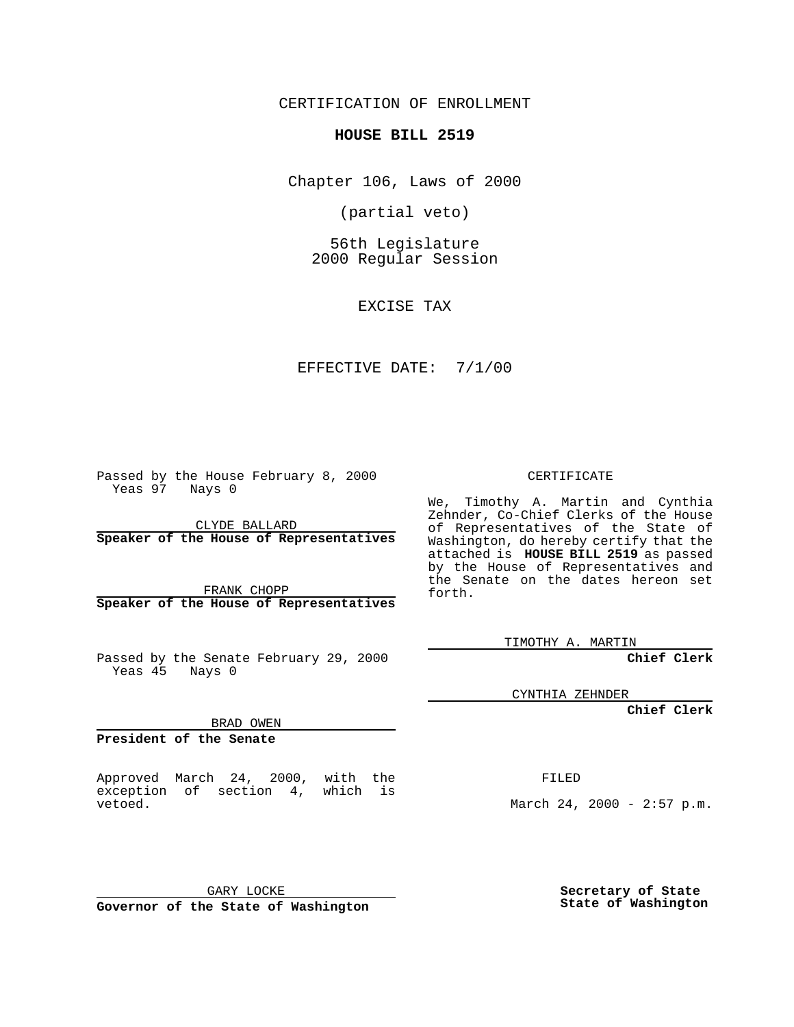CERTIFICATION OF ENROLLMENT

## **HOUSE BILL 2519**

Chapter 106, Laws of 2000

(partial veto)

56th Legislature 2000 Regular Session

EXCISE TAX

## EFFECTIVE DATE: 7/1/00

Passed by the House February 8, 2000 Yeas 97 Nays 0

CLYDE BALLARD **Speaker of the House of Representatives**

FRANK CHOPP **Speaker of the House of Representatives**

Passed by the Senate February 29, 2000 Yeas 45 Nays 0

BRAD OWEN

**President of the Senate**

Approved March 24, 2000, with the exception of section 4, which is vetoed.

CERTIFICATE

We, Timothy A. Martin and Cynthia Zehnder, Co-Chief Clerks of the House of Representatives of the State of Washington, do hereby certify that the attached is **HOUSE BILL 2519** as passed by the House of Representatives and the Senate on the dates hereon set forth.

TIMOTHY A. MARTIN

**Chief Clerk**

CYNTHIA ZEHNDER

**Chief Clerk**

FILED

March 24, 2000 - 2:57 p.m.

GARY LOCKE

**Governor of the State of Washington**

**Secretary of State State of Washington**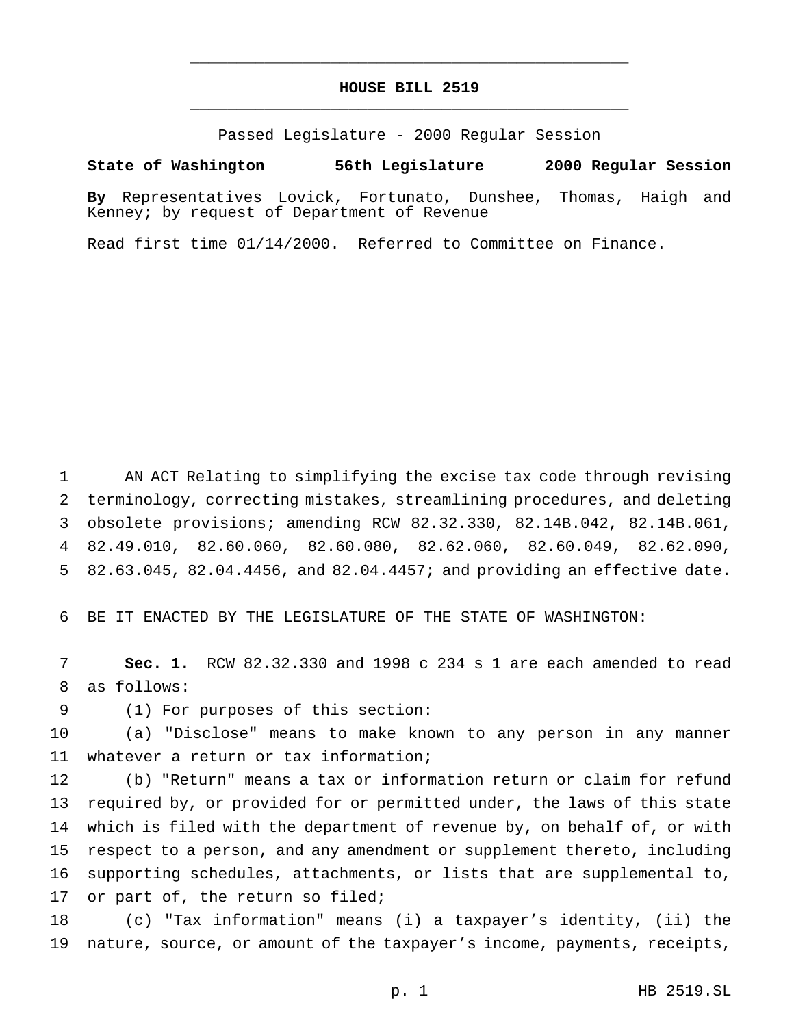## **HOUSE BILL 2519** \_\_\_\_\_\_\_\_\_\_\_\_\_\_\_\_\_\_\_\_\_\_\_\_\_\_\_\_\_\_\_\_\_\_\_\_\_\_\_\_\_\_\_\_\_\_\_

\_\_\_\_\_\_\_\_\_\_\_\_\_\_\_\_\_\_\_\_\_\_\_\_\_\_\_\_\_\_\_\_\_\_\_\_\_\_\_\_\_\_\_\_\_\_\_

Passed Legislature - 2000 Regular Session

## **State of Washington 56th Legislature 2000 Regular Session**

**By** Representatives Lovick, Fortunato, Dunshee, Thomas, Haigh and Kenney; by request of Department of Revenue

Read first time 01/14/2000. Referred to Committee on Finance.

 AN ACT Relating to simplifying the excise tax code through revising terminology, correcting mistakes, streamlining procedures, and deleting obsolete provisions; amending RCW 82.32.330, 82.14B.042, 82.14B.061, 82.49.010, 82.60.060, 82.60.080, 82.62.060, 82.60.049, 82.62.090, 82.63.045, 82.04.4456, and 82.04.4457; and providing an effective date.

BE IT ENACTED BY THE LEGISLATURE OF THE STATE OF WASHINGTON:

 **Sec. 1.** RCW 82.32.330 and 1998 c 234 s 1 are each amended to read as follows:

(1) For purposes of this section:

 (a) "Disclose" means to make known to any person in any manner whatever a return or tax information;

 (b) "Return" means a tax or information return or claim for refund required by, or provided for or permitted under, the laws of this state which is filed with the department of revenue by, on behalf of, or with respect to a person, and any amendment or supplement thereto, including supporting schedules, attachments, or lists that are supplemental to, 17 or part of, the return so filed;

 (c) "Tax information" means (i) a taxpayer's identity, (ii) the nature, source, or amount of the taxpayer's income, payments, receipts,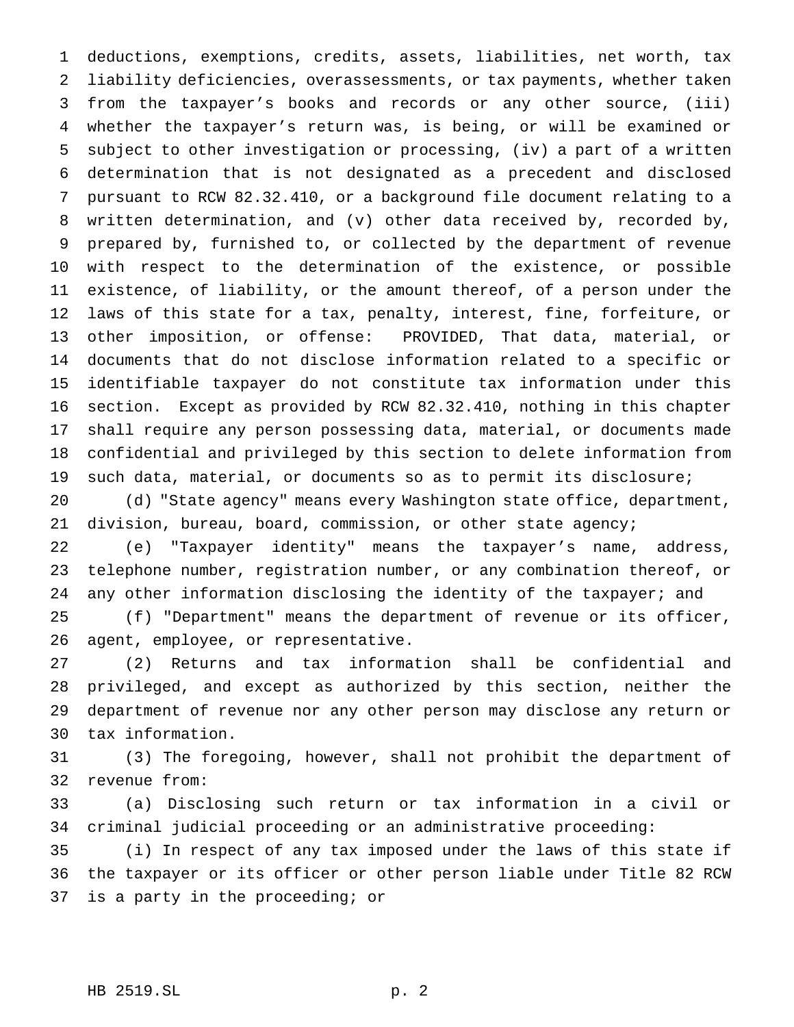deductions, exemptions, credits, assets, liabilities, net worth, tax liability deficiencies, overassessments, or tax payments, whether taken from the taxpayer's books and records or any other source, (iii) whether the taxpayer's return was, is being, or will be examined or subject to other investigation or processing, (iv) a part of a written determination that is not designated as a precedent and disclosed pursuant to RCW 82.32.410, or a background file document relating to a written determination, and (v) other data received by, recorded by, prepared by, furnished to, or collected by the department of revenue with respect to the determination of the existence, or possible existence, of liability, or the amount thereof, of a person under the laws of this state for a tax, penalty, interest, fine, forfeiture, or other imposition, or offense: PROVIDED, That data, material, or documents that do not disclose information related to a specific or identifiable taxpayer do not constitute tax information under this section. Except as provided by RCW 82.32.410, nothing in this chapter shall require any person possessing data, material, or documents made confidential and privileged by this section to delete information from such data, material, or documents so as to permit its disclosure;

 (d) "State agency" means every Washington state office, department, division, bureau, board, commission, or other state agency;

 (e) "Taxpayer identity" means the taxpayer's name, address, telephone number, registration number, or any combination thereof, or 24 any other information disclosing the identity of the taxpayer; and

 (f) "Department" means the department of revenue or its officer, agent, employee, or representative.

 (2) Returns and tax information shall be confidential and privileged, and except as authorized by this section, neither the department of revenue nor any other person may disclose any return or tax information.

 (3) The foregoing, however, shall not prohibit the department of revenue from:

 (a) Disclosing such return or tax information in a civil or criminal judicial proceeding or an administrative proceeding:

 (i) In respect of any tax imposed under the laws of this state if the taxpayer or its officer or other person liable under Title 82 RCW is a party in the proceeding; or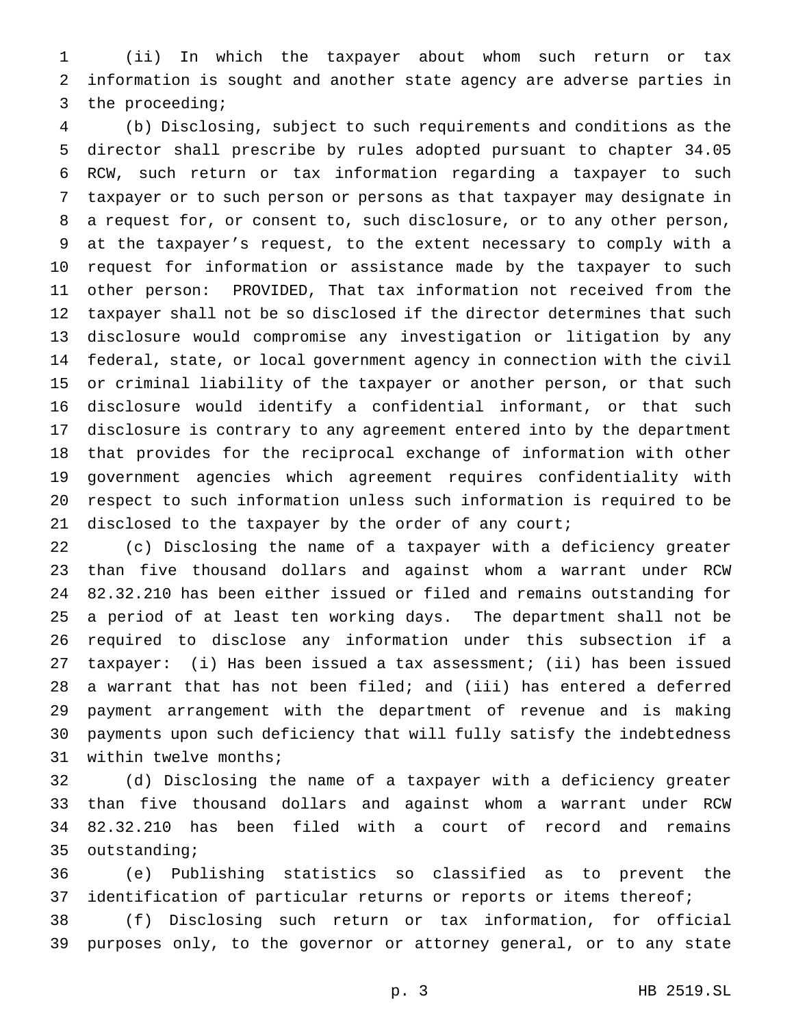(ii) In which the taxpayer about whom such return or tax information is sought and another state agency are adverse parties in the proceeding;

 (b) Disclosing, subject to such requirements and conditions as the director shall prescribe by rules adopted pursuant to chapter 34.05 RCW, such return or tax information regarding a taxpayer to such taxpayer or to such person or persons as that taxpayer may designate in a request for, or consent to, such disclosure, or to any other person, at the taxpayer's request, to the extent necessary to comply with a request for information or assistance made by the taxpayer to such other person: PROVIDED, That tax information not received from the taxpayer shall not be so disclosed if the director determines that such disclosure would compromise any investigation or litigation by any federal, state, or local government agency in connection with the civil or criminal liability of the taxpayer or another person, or that such disclosure would identify a confidential informant, or that such disclosure is contrary to any agreement entered into by the department that provides for the reciprocal exchange of information with other government agencies which agreement requires confidentiality with respect to such information unless such information is required to be 21 disclosed to the taxpayer by the order of any court;

 (c) Disclosing the name of a taxpayer with a deficiency greater than five thousand dollars and against whom a warrant under RCW 82.32.210 has been either issued or filed and remains outstanding for a period of at least ten working days. The department shall not be required to disclose any information under this subsection if a taxpayer: (i) Has been issued a tax assessment; (ii) has been issued a warrant that has not been filed; and (iii) has entered a deferred payment arrangement with the department of revenue and is making payments upon such deficiency that will fully satisfy the indebtedness within twelve months;

 (d) Disclosing the name of a taxpayer with a deficiency greater than five thousand dollars and against whom a warrant under RCW 82.32.210 has been filed with a court of record and remains outstanding;

 (e) Publishing statistics so classified as to prevent the 37 identification of particular returns or reports or items thereof;

 (f) Disclosing such return or tax information, for official purposes only, to the governor or attorney general, or to any state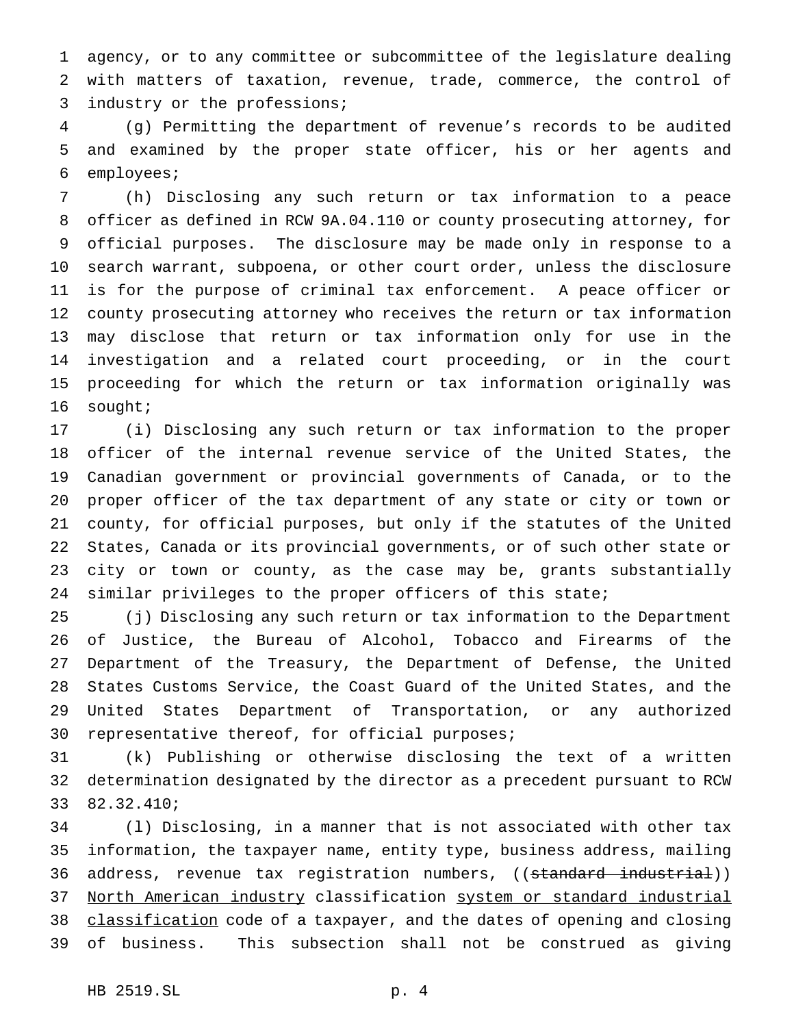agency, or to any committee or subcommittee of the legislature dealing with matters of taxation, revenue, trade, commerce, the control of industry or the professions;

 (g) Permitting the department of revenue's records to be audited and examined by the proper state officer, his or her agents and employees;

 (h) Disclosing any such return or tax information to a peace officer as defined in RCW 9A.04.110 or county prosecuting attorney, for official purposes. The disclosure may be made only in response to a search warrant, subpoena, or other court order, unless the disclosure is for the purpose of criminal tax enforcement. A peace officer or county prosecuting attorney who receives the return or tax information may disclose that return or tax information only for use in the investigation and a related court proceeding, or in the court proceeding for which the return or tax information originally was sought;

 (i) Disclosing any such return or tax information to the proper officer of the internal revenue service of the United States, the Canadian government or provincial governments of Canada, or to the proper officer of the tax department of any state or city or town or county, for official purposes, but only if the statutes of the United States, Canada or its provincial governments, or of such other state or city or town or county, as the case may be, grants substantially 24 similar privileges to the proper officers of this state;

 (j) Disclosing any such return or tax information to the Department of Justice, the Bureau of Alcohol, Tobacco and Firearms of the Department of the Treasury, the Department of Defense, the United States Customs Service, the Coast Guard of the United States, and the United States Department of Transportation, or any authorized representative thereof, for official purposes;

 (k) Publishing or otherwise disclosing the text of a written determination designated by the director as a precedent pursuant to RCW 82.32.410;

 (l) Disclosing, in a manner that is not associated with other tax information, the taxpayer name, entity type, business address, mailing 36 address, revenue tax registration numbers, ((standard industrial)) North American industry classification system or standard industrial 38 classification code of a taxpayer, and the dates of opening and closing of business. This subsection shall not be construed as giving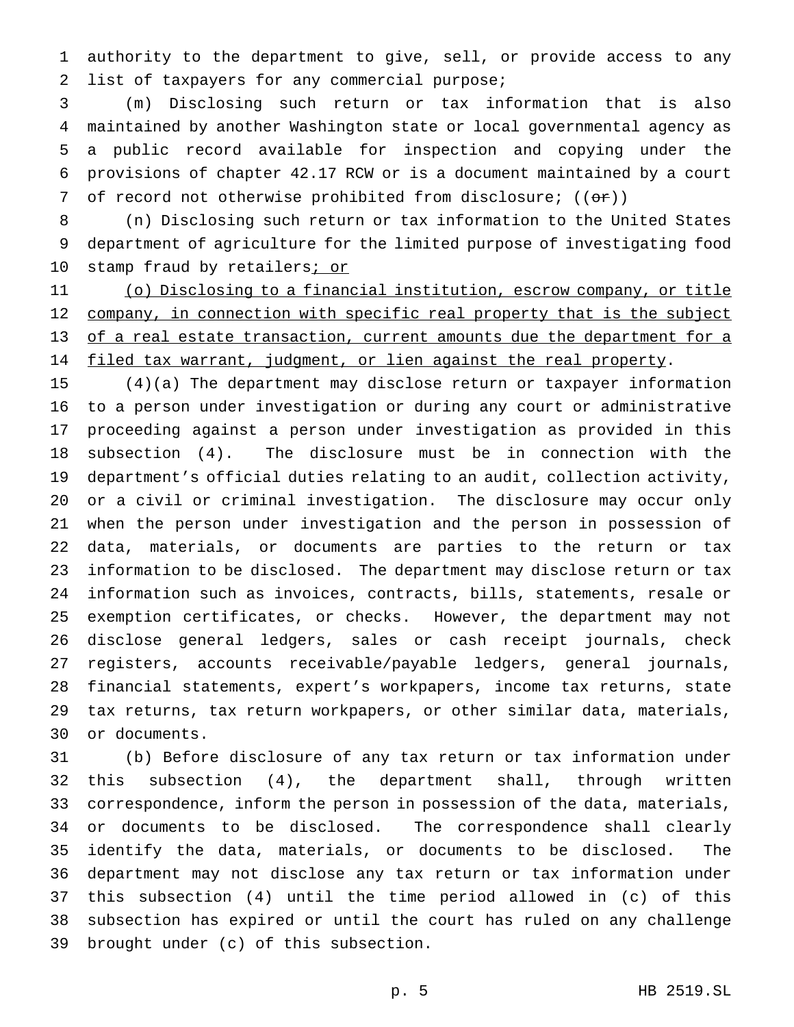authority to the department to give, sell, or provide access to any list of taxpayers for any commercial purpose;

 (m) Disclosing such return or tax information that is also maintained by another Washington state or local governmental agency as a public record available for inspection and copying under the provisions of chapter 42.17 RCW or is a document maintained by a court 7 of record not otherwise prohibited from disclosure;  $((\theta \cdot \hat{r}))$ 

 (n) Disclosing such return or tax information to the United States department of agriculture for the limited purpose of investigating food 10 stamp fraud by retailers*i* or

 (o) Disclosing to a financial institution, escrow company, or title 12 company, in connection with specific real property that is the subject 13 of a real estate transaction, current amounts due the department for a 14 filed tax warrant, judgment, or lien against the real property.

 (4)(a) The department may disclose return or taxpayer information to a person under investigation or during any court or administrative proceeding against a person under investigation as provided in this subsection (4). The disclosure must be in connection with the department's official duties relating to an audit, collection activity, or a civil or criminal investigation. The disclosure may occur only when the person under investigation and the person in possession of data, materials, or documents are parties to the return or tax information to be disclosed. The department may disclose return or tax information such as invoices, contracts, bills, statements, resale or exemption certificates, or checks. However, the department may not disclose general ledgers, sales or cash receipt journals, check registers, accounts receivable/payable ledgers, general journals, financial statements, expert's workpapers, income tax returns, state tax returns, tax return workpapers, or other similar data, materials, or documents.

 (b) Before disclosure of any tax return or tax information under this subsection (4), the department shall, through written correspondence, inform the person in possession of the data, materials, or documents to be disclosed. The correspondence shall clearly identify the data, materials, or documents to be disclosed. The department may not disclose any tax return or tax information under this subsection (4) until the time period allowed in (c) of this subsection has expired or until the court has ruled on any challenge brought under (c) of this subsection.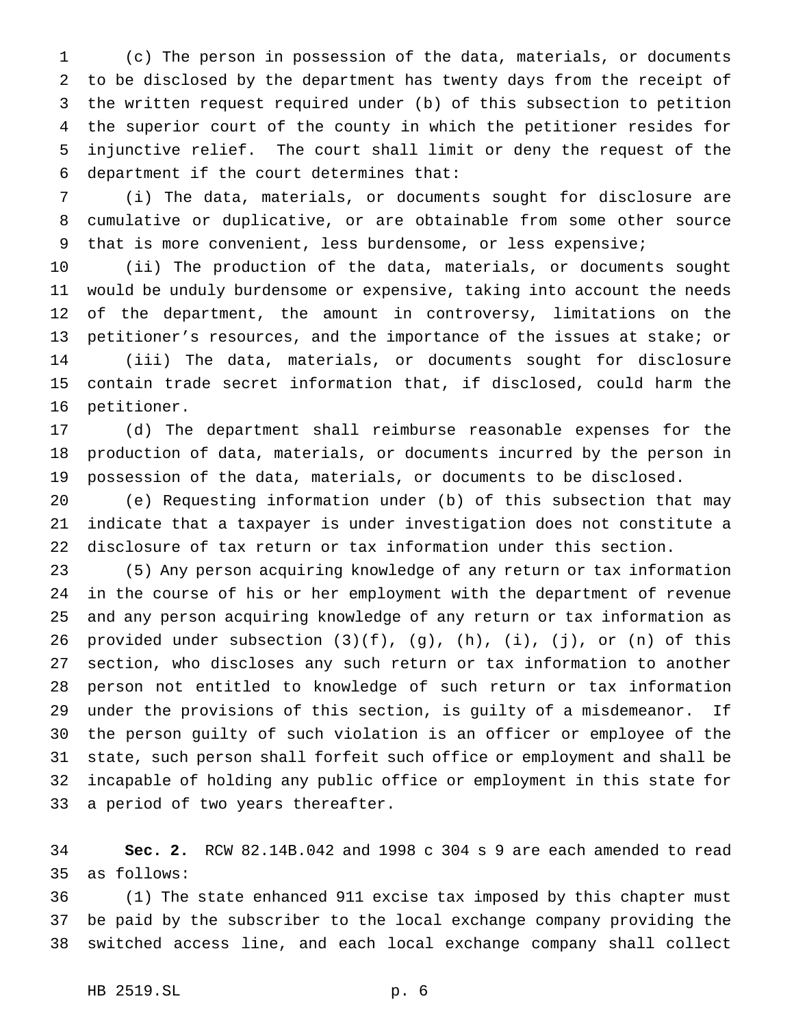(c) The person in possession of the data, materials, or documents to be disclosed by the department has twenty days from the receipt of the written request required under (b) of this subsection to petition the superior court of the county in which the petitioner resides for injunctive relief. The court shall limit or deny the request of the department if the court determines that:

 (i) The data, materials, or documents sought for disclosure are cumulative or duplicative, or are obtainable from some other source 9 that is more convenient, less burdensome, or less expensive;

 (ii) The production of the data, materials, or documents sought would be unduly burdensome or expensive, taking into account the needs of the department, the amount in controversy, limitations on the petitioner's resources, and the importance of the issues at stake; or (iii) The data, materials, or documents sought for disclosure contain trade secret information that, if disclosed, could harm the petitioner.

 (d) The department shall reimburse reasonable expenses for the production of data, materials, or documents incurred by the person in possession of the data, materials, or documents to be disclosed.

 (e) Requesting information under (b) of this subsection that may indicate that a taxpayer is under investigation does not constitute a disclosure of tax return or tax information under this section.

 (5) Any person acquiring knowledge of any return or tax information in the course of his or her employment with the department of revenue and any person acquiring knowledge of any return or tax information as 26 provided under subsection  $(3)(f)$ ,  $(g)$ ,  $(h)$ ,  $(i)$ ,  $(j)$ , or  $(n)$  of this section, who discloses any such return or tax information to another person not entitled to knowledge of such return or tax information under the provisions of this section, is guilty of a misdemeanor. If the person guilty of such violation is an officer or employee of the state, such person shall forfeit such office or employment and shall be incapable of holding any public office or employment in this state for a period of two years thereafter.

 **Sec. 2.** RCW 82.14B.042 and 1998 c 304 s 9 are each amended to read as follows:

 (1) The state enhanced 911 excise tax imposed by this chapter must be paid by the subscriber to the local exchange company providing the switched access line, and each local exchange company shall collect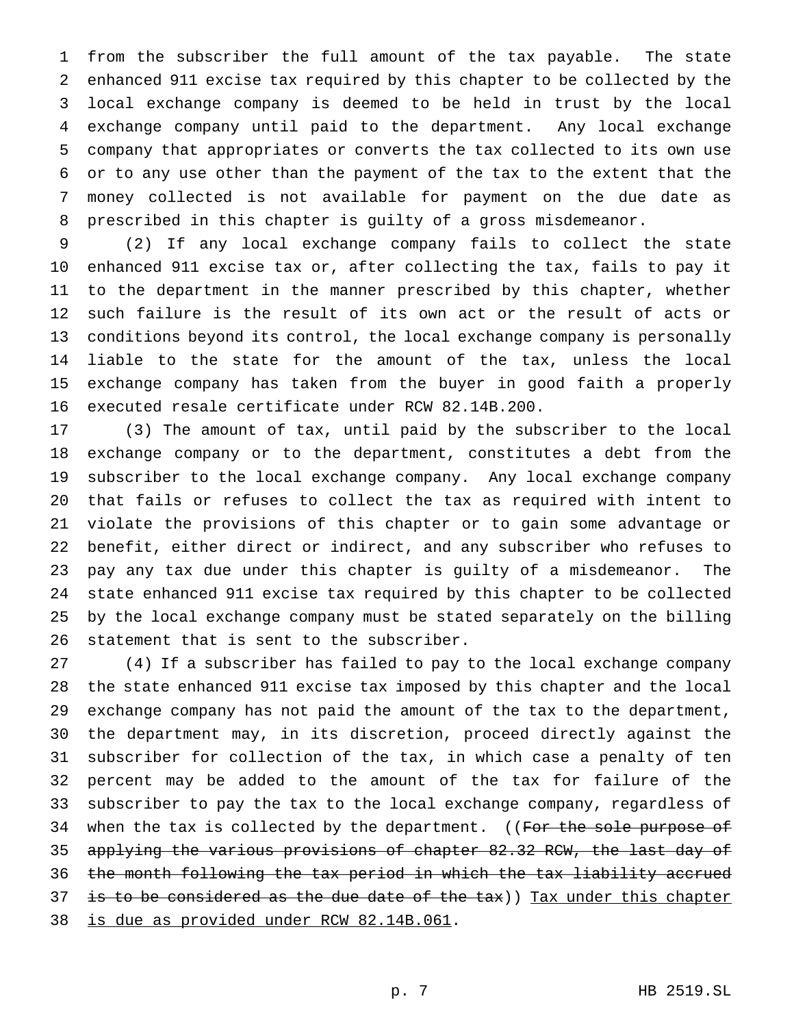from the subscriber the full amount of the tax payable. The state enhanced 911 excise tax required by this chapter to be collected by the local exchange company is deemed to be held in trust by the local exchange company until paid to the department. Any local exchange company that appropriates or converts the tax collected to its own use or to any use other than the payment of the tax to the extent that the money collected is not available for payment on the due date as prescribed in this chapter is guilty of a gross misdemeanor.

 (2) If any local exchange company fails to collect the state enhanced 911 excise tax or, after collecting the tax, fails to pay it to the department in the manner prescribed by this chapter, whether such failure is the result of its own act or the result of acts or conditions beyond its control, the local exchange company is personally liable to the state for the amount of the tax, unless the local exchange company has taken from the buyer in good faith a properly executed resale certificate under RCW 82.14B.200.

 (3) The amount of tax, until paid by the subscriber to the local exchange company or to the department, constitutes a debt from the subscriber to the local exchange company. Any local exchange company that fails or refuses to collect the tax as required with intent to violate the provisions of this chapter or to gain some advantage or benefit, either direct or indirect, and any subscriber who refuses to pay any tax due under this chapter is guilty of a misdemeanor. The state enhanced 911 excise tax required by this chapter to be collected by the local exchange company must be stated separately on the billing statement that is sent to the subscriber.

 (4) If a subscriber has failed to pay to the local exchange company the state enhanced 911 excise tax imposed by this chapter and the local exchange company has not paid the amount of the tax to the department, the department may, in its discretion, proceed directly against the subscriber for collection of the tax, in which case a penalty of ten percent may be added to the amount of the tax for failure of the subscriber to pay the tax to the local exchange company, regardless of 34 when the tax is collected by the department. ((For the sole purpose of applying the various provisions of chapter 82.32 RCW, the last day of the month following the tax period in which the tax liability accrued 37 is to be considered as the due date of the tax)) Tax under this chapter is due as provided under RCW 82.14B.061.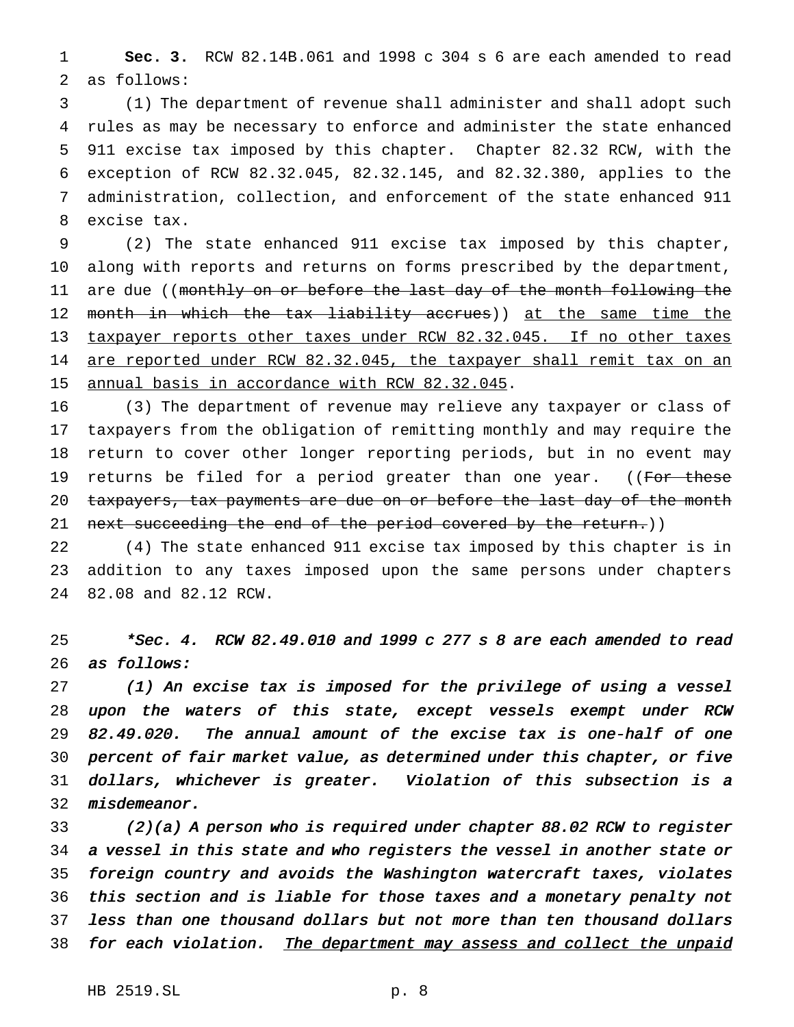**Sec. 3.** RCW 82.14B.061 and 1998 c 304 s 6 are each amended to read as follows:

 (1) The department of revenue shall administer and shall adopt such rules as may be necessary to enforce and administer the state enhanced 911 excise tax imposed by this chapter. Chapter 82.32 RCW, with the exception of RCW 82.32.045, 82.32.145, and 82.32.380, applies to the administration, collection, and enforcement of the state enhanced 911 excise tax.

 (2) The state enhanced 911 excise tax imposed by this chapter, along with reports and returns on forms prescribed by the department, 11 are due ((monthly on or before the last day of the month following the 12 month in which the tax liability accrues)) at the same time the taxpayer reports other taxes under RCW 82.32.045. If no other taxes 14 are reported under RCW 82.32.045, the taxpayer shall remit tax on an annual basis in accordance with RCW 82.32.045.

 (3) The department of revenue may relieve any taxpayer or class of taxpayers from the obligation of remitting monthly and may require the return to cover other longer reporting periods, but in no event may 19 returns be filed for a period greater than one year. ((For these 20 taxpayers, tax payments are due on or before the last day of the month 21 next succeeding the end of the period covered by the return.))

 (4) The state enhanced 911 excise tax imposed by this chapter is in addition to any taxes imposed upon the same persons under chapters 82.08 and 82.12 RCW.

 \*Sec. 4. RCW 82.49.010 and <sup>1999</sup> <sup>c</sup> <sup>277</sup> <sup>s</sup> <sup>8</sup> are each amended to read 26 as follows:

 (1) An excise tax is imposed for the privilege of using <sup>a</sup> vessel upon the waters of this state, except vessels exempt under RCW 82.49.020. The annual amount of the excise tax is one-half of one percent of fair market value, as determined under this chapter, or five dollars, whichever is greater. Violation of this subsection is <sup>a</sup> misdemeanor.

 (2)(a) <sup>A</sup> person who is required under chapter 88.02 RCW to register <sup>a</sup> vessel in this state and who registers the vessel in another state or foreign country and avoids the Washington watercraft taxes, violates this section and is liable for those taxes and <sup>a</sup> monetary penalty not less than one thousand dollars but not more than ten thousand dollars 38 for each violation. The department may assess and collect the unpaid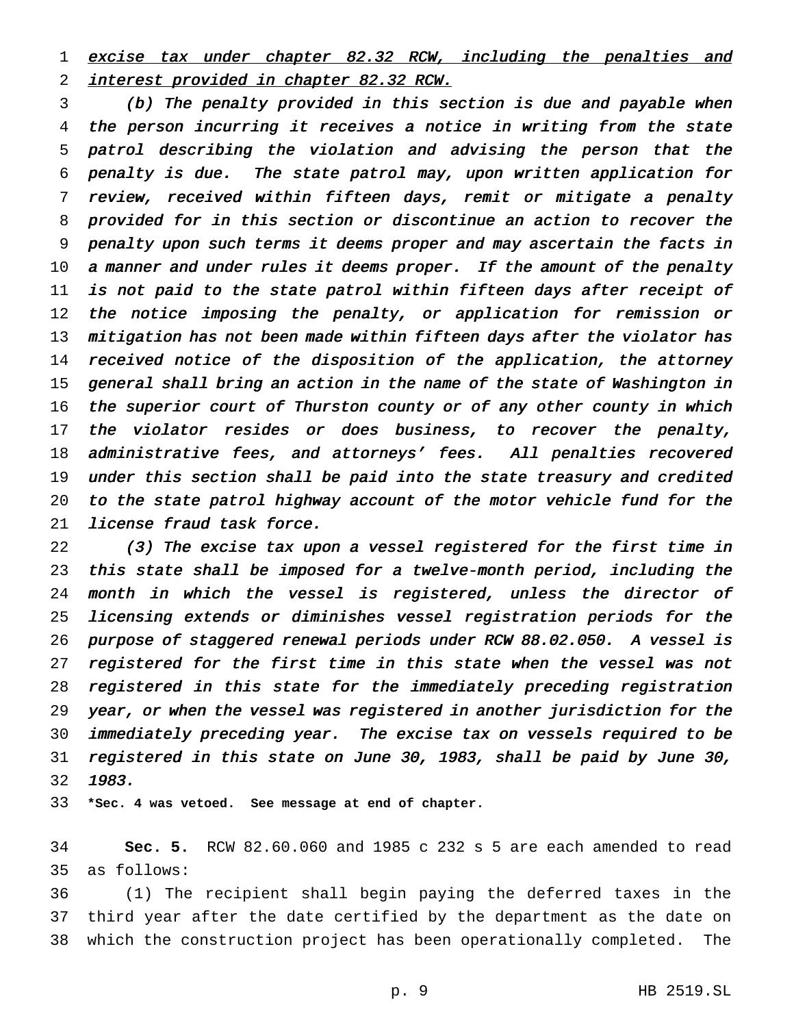1 excise tax under chapter 82.32 RCW, including the penalties and interest provided in chapter 82.32 RCW.

 (b) The penalty provided in this section is due and payable when the person incurring it receives <sup>a</sup> notice in writing from the state patrol describing the violation and advising the person that the penalty is due. The state patrol may, upon written application for review, received within fifteen days, remit or mitigate <sup>a</sup> penalty provided for in this section or discontinue an action to recover the penalty upon such terms it deems proper and may ascertain the facts in 10 a manner and under rules it deems proper. If the amount of the penalty is not paid to the state patrol within fifteen days after receipt of 12 the notice imposing the penalty, or application for remission or 13 mitigation has not been made within fifteen days after the violator has 14 received notice of the disposition of the application, the attorney general shall bring an action in the name of the state of Washington in the superior court of Thurston county or of any other county in which 17 the violator resides or does business, to recover the penalty, administrative fees, and attorneys' fees. All penalties recovered under this section shall be paid into the state treasury and credited to the state patrol highway account of the motor vehicle fund for the license fraud task force.

 (3) The excise tax upon <sup>a</sup> vessel registered for the first time in this state shall be imposed for <sup>a</sup> twelve-month period, including the month in which the vessel is registered, unless the director of licensing extends or diminishes vessel registration periods for the purpose of staggered renewal periods under RCW 88.02.050. <sup>A</sup> vessel is registered for the first time in this state when the vessel was not registered in this state for the immediately preceding registration year, or when the vessel was registered in another jurisdiction for the immediately preceding year. The excise tax on vessels required to be registered in this state on June 30, 1983, shall be paid by June 30, 1983.

**\*Sec. 4 was vetoed. See message at end of chapter.**

 **Sec. 5.** RCW 82.60.060 and 1985 c 232 s 5 are each amended to read as follows:

 (1) The recipient shall begin paying the deferred taxes in the third year after the date certified by the department as the date on which the construction project has been operationally completed. The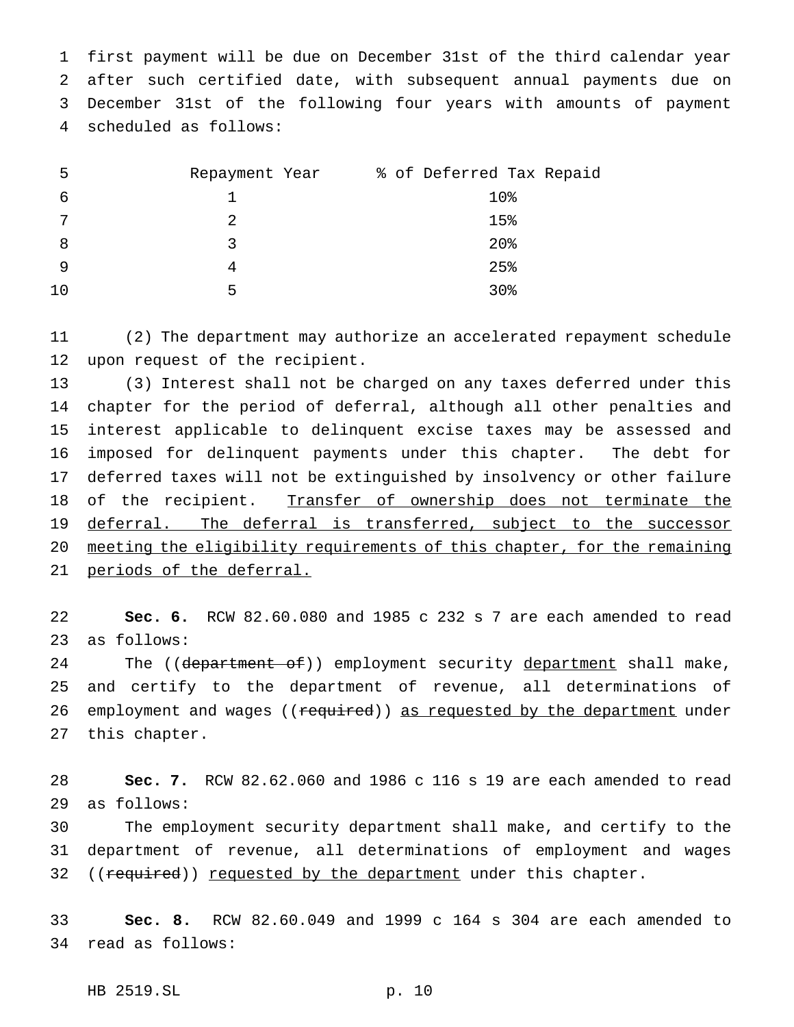first payment will be due on December 31st of the third calendar year after such certified date, with subsequent annual payments due on December 31st of the following four years with amounts of payment scheduled as follows:

| 5  | Repayment Year | % of Deferred Tax Repaid |
|----|----------------|--------------------------|
| 6  |                | 10%                      |
| 7  |                | 15%                      |
| 8  | ર              | $20$ %                   |
| 9  |                | 25%                      |
| 10 | 5              | 30 <sub>8</sub>          |

 (2) The department may authorize an accelerated repayment schedule upon request of the recipient.

 (3) Interest shall not be charged on any taxes deferred under this chapter for the period of deferral, although all other penalties and interest applicable to delinquent excise taxes may be assessed and imposed for delinquent payments under this chapter. The debt for deferred taxes will not be extinguished by insolvency or other failure of the recipient. Transfer of ownership does not terminate the 19 deferral. The deferral is transferred, subject to the successor meeting the eligibility requirements of this chapter, for the remaining 21 periods of the deferral.

 **Sec. 6.** RCW 82.60.080 and 1985 c 232 s 7 are each amended to read as follows:

24 The ((department of)) employment security department shall make, and certify to the department of revenue, all determinations of 26 employment and wages ((required)) as requested by the department under this chapter.

 **Sec. 7.** RCW 82.62.060 and 1986 c 116 s 19 are each amended to read as follows:

 The employment security department shall make, and certify to the department of revenue, all determinations of employment and wages 32 ((required)) requested by the department under this chapter.

 **Sec. 8.** RCW 82.60.049 and 1999 c 164 s 304 are each amended to read as follows:

HB 2519.SL p. 10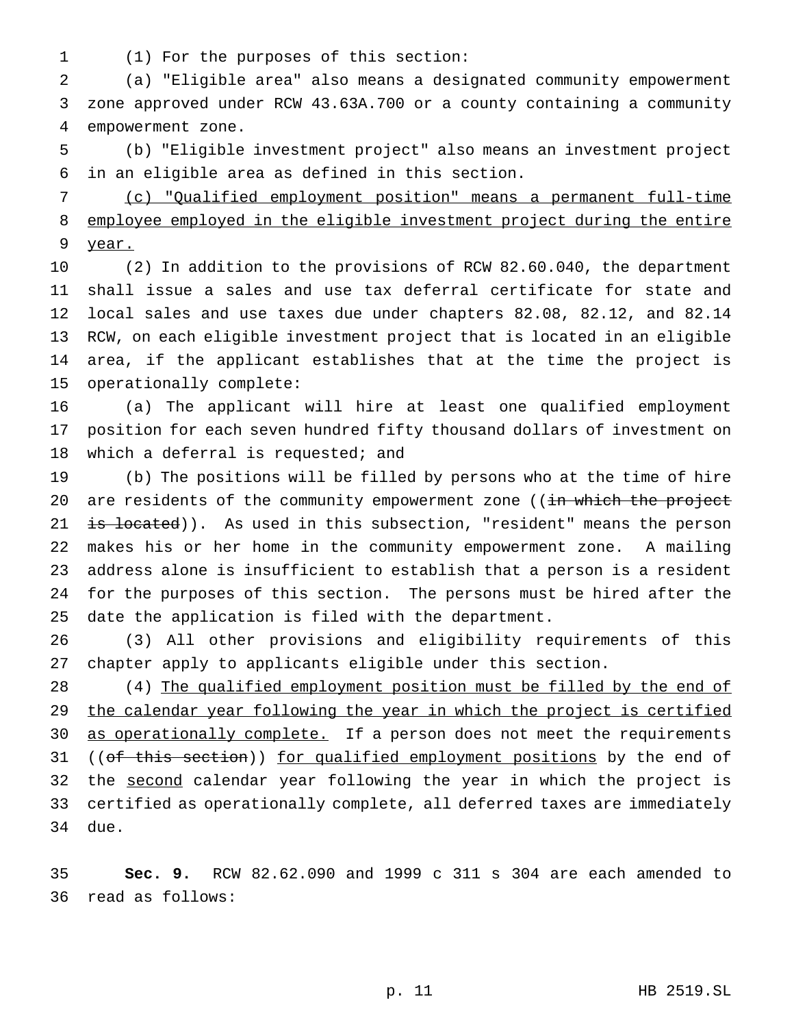(1) For the purposes of this section:

 (a) "Eligible area" also means a designated community empowerment zone approved under RCW 43.63A.700 or a county containing a community empowerment zone.

 (b) "Eligible investment project" also means an investment project in an eligible area as defined in this section.

 (c) "Qualified employment position" means a permanent full-time employee employed in the eligible investment project during the entire year.

 (2) In addition to the provisions of RCW 82.60.040, the department shall issue a sales and use tax deferral certificate for state and local sales and use taxes due under chapters 82.08, 82.12, and 82.14 RCW, on each eligible investment project that is located in an eligible area, if the applicant establishes that at the time the project is operationally complete:

 (a) The applicant will hire at least one qualified employment position for each seven hundred fifty thousand dollars of investment on 18 which a deferral is requested; and

 (b) The positions will be filled by persons who at the time of hire 20 are residents of the community empowerment zone ((in which the project 21 is located)). As used in this subsection, "resident" means the person makes his or her home in the community empowerment zone. A mailing address alone is insufficient to establish that a person is a resident for the purposes of this section. The persons must be hired after the date the application is filed with the department.

 (3) All other provisions and eligibility requirements of this chapter apply to applicants eligible under this section.

28 (4) The qualified employment position must be filled by the end of 29 the calendar year following the year in which the project is certified 30 as operationally complete. If a person does not meet the requirements 31 ((of this section)) for qualified employment positions by the end of 32 the second calendar year following the year in which the project is certified as operationally complete, all deferred taxes are immediately due.

 **Sec. 9.** RCW 82.62.090 and 1999 c 311 s 304 are each amended to read as follows: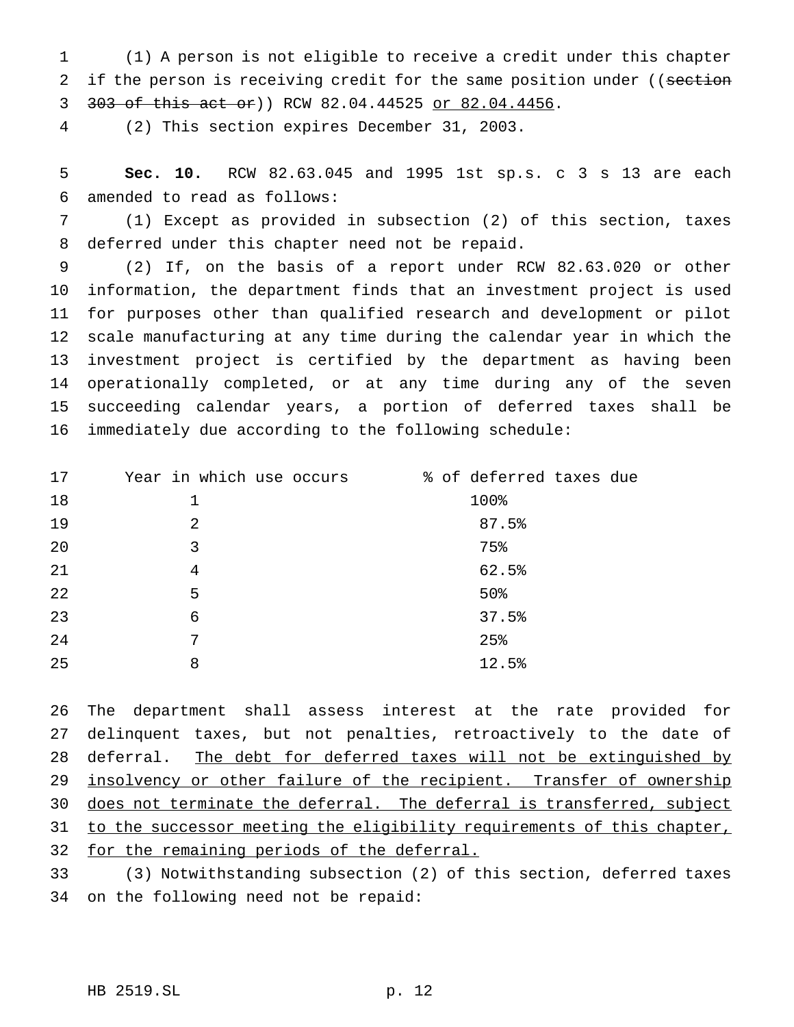(1) A person is not eligible to receive a credit under this chapter 2 if the person is receiving credit for the same position under ((section 303 of this act or)) RCW 82.04.44525 or 82.04.4456.

(2) This section expires December 31, 2003.

 **Sec. 10.** RCW 82.63.045 and 1995 1st sp.s. c 3 s 13 are each amended to read as follows:

 (1) Except as provided in subsection (2) of this section, taxes deferred under this chapter need not be repaid.

 (2) If, on the basis of a report under RCW 82.63.020 or other information, the department finds that an investment project is used for purposes other than qualified research and development or pilot scale manufacturing at any time during the calendar year in which the investment project is certified by the department as having been operationally completed, or at any time during any of the seven succeeding calendar years, a portion of deferred taxes shall be immediately due according to the following schedule:

| 17 | Year in which use occurs | % of deferred taxes due |
|----|--------------------------|-------------------------|
| 18 | 1                        | 100%                    |
| 19 | 2                        | 87.5%                   |
| 20 | 3                        | 75%                     |
| 21 | 4                        | 62.5%                   |
| 22 | 5                        | 50%                     |
| 23 | 6                        | 37.5%                   |
| 24 | 7                        | 25%                     |
| 25 | 8                        | 12.5%                   |

 The department shall assess interest at the rate provided for delinquent taxes, but not penalties, retroactively to the date of 28 deferral. The debt for deferred taxes will not be extinguished by 29 insolvency or other failure of the recipient. Transfer of ownership 30 does not terminate the deferral. The deferral is transferred, subject 31 to the successor meeting the eligibility requirements of this chapter, for the remaining periods of the deferral.

 (3) Notwithstanding subsection (2) of this section, deferred taxes on the following need not be repaid: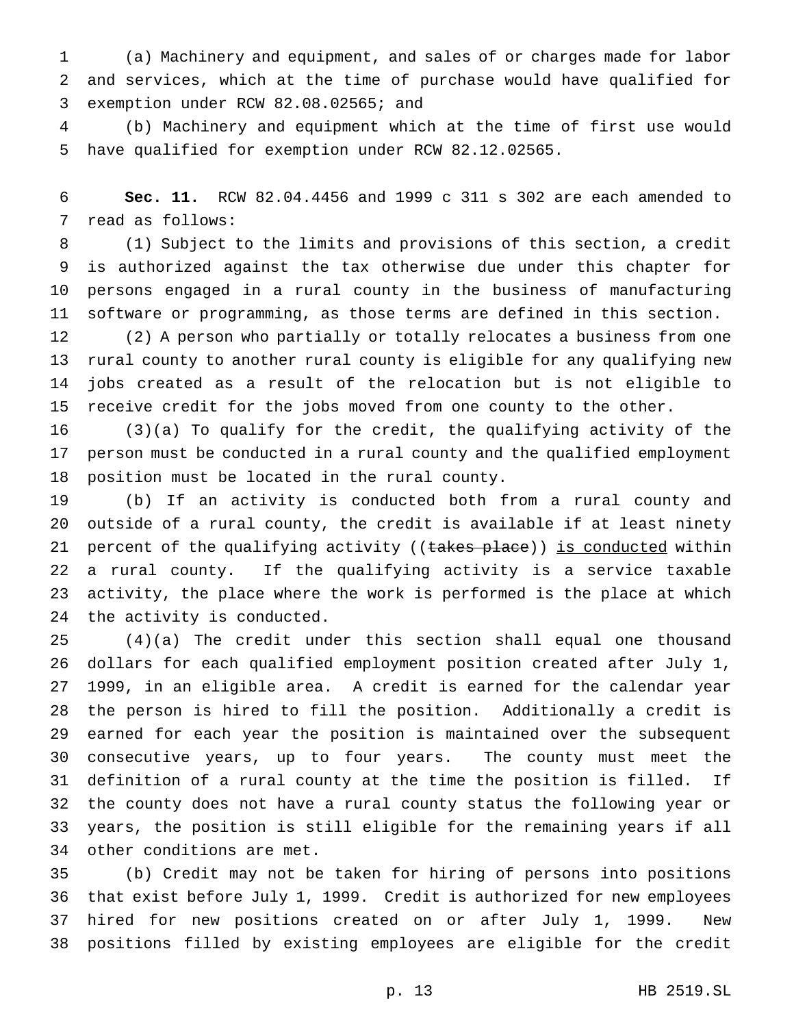(a) Machinery and equipment, and sales of or charges made for labor and services, which at the time of purchase would have qualified for exemption under RCW 82.08.02565; and

 (b) Machinery and equipment which at the time of first use would have qualified for exemption under RCW 82.12.02565.

 **Sec. 11.** RCW 82.04.4456 and 1999 c 311 s 302 are each amended to read as follows:

 (1) Subject to the limits and provisions of this section, a credit is authorized against the tax otherwise due under this chapter for persons engaged in a rural county in the business of manufacturing software or programming, as those terms are defined in this section.

 (2) A person who partially or totally relocates a business from one rural county to another rural county is eligible for any qualifying new jobs created as a result of the relocation but is not eligible to receive credit for the jobs moved from one county to the other.

 (3)(a) To qualify for the credit, the qualifying activity of the person must be conducted in a rural county and the qualified employment position must be located in the rural county.

 (b) If an activity is conducted both from a rural county and outside of a rural county, the credit is available if at least ninety 21 percent of the qualifying activity ((takes place)) is conducted within a rural county. If the qualifying activity is a service taxable activity, the place where the work is performed is the place at which the activity is conducted.

 (4)(a) The credit under this section shall equal one thousand dollars for each qualified employment position created after July 1, 1999, in an eligible area. A credit is earned for the calendar year the person is hired to fill the position. Additionally a credit is earned for each year the position is maintained over the subsequent consecutive years, up to four years. The county must meet the definition of a rural county at the time the position is filled. If the county does not have a rural county status the following year or years, the position is still eligible for the remaining years if all other conditions are met.

 (b) Credit may not be taken for hiring of persons into positions that exist before July 1, 1999. Credit is authorized for new employees hired for new positions created on or after July 1, 1999. New positions filled by existing employees are eligible for the credit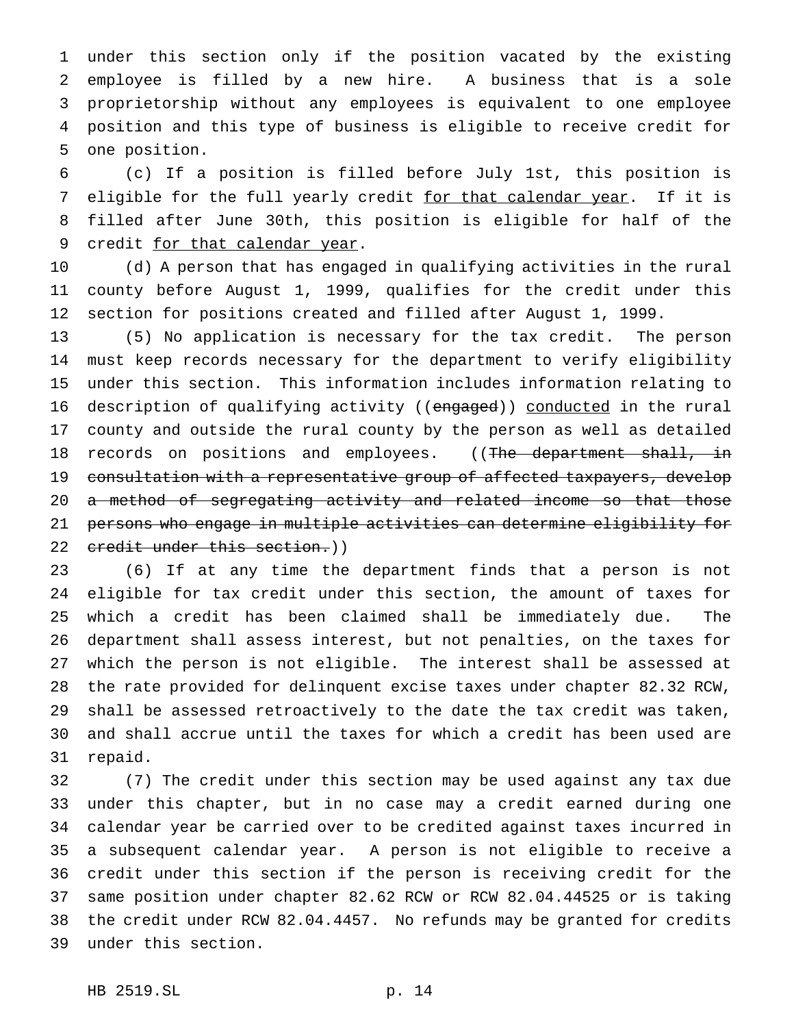under this section only if the position vacated by the existing employee is filled by a new hire. A business that is a sole proprietorship without any employees is equivalent to one employee position and this type of business is eligible to receive credit for one position.

 (c) If a position is filled before July 1st, this position is 7 eligible for the full yearly credit for that calendar year. If it is filled after June 30th, this position is eligible for half of the 9 credit for that calendar year.

 (d) A person that has engaged in qualifying activities in the rural county before August 1, 1999, qualifies for the credit under this section for positions created and filled after August 1, 1999.

 (5) No application is necessary for the tax credit. The person must keep records necessary for the department to verify eligibility under this section. This information includes information relating to 16 description of qualifying activity ((engaged)) conducted in the rural county and outside the rural county by the person as well as detailed 18 records on positions and employees. ((The department shall, in consultation with a representative group of affected taxpayers, develop 20 a method of segregating activity and related income so that those persons who engage in multiple activities can determine eligibility for 22 credit under this section.))

 (6) If at any time the department finds that a person is not eligible for tax credit under this section, the amount of taxes for which a credit has been claimed shall be immediately due. The department shall assess interest, but not penalties, on the taxes for which the person is not eligible. The interest shall be assessed at the rate provided for delinquent excise taxes under chapter 82.32 RCW, shall be assessed retroactively to the date the tax credit was taken, and shall accrue until the taxes for which a credit has been used are repaid.

 (7) The credit under this section may be used against any tax due under this chapter, but in no case may a credit earned during one calendar year be carried over to be credited against taxes incurred in a subsequent calendar year. A person is not eligible to receive a credit under this section if the person is receiving credit for the same position under chapter 82.62 RCW or RCW 82.04.44525 or is taking the credit under RCW 82.04.4457. No refunds may be granted for credits under this section.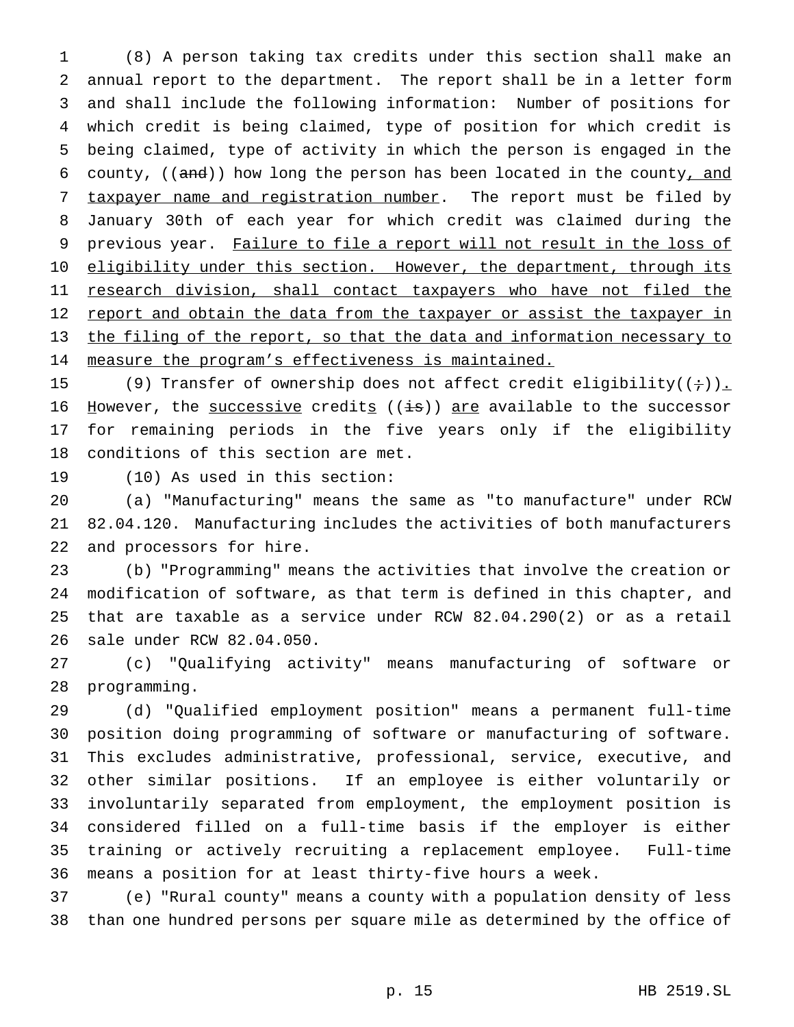(8) A person taking tax credits under this section shall make an annual report to the department. The report shall be in a letter form and shall include the following information: Number of positions for which credit is being claimed, type of position for which credit is being claimed, type of activity in which the person is engaged in the 6 county,  $((and))$  how long the person has been located in the county, and 7 taxpayer name and registration number. The report must be filed by January 30th of each year for which credit was claimed during the 9 previous year. Failure to file a report will not result in the loss of 10 eligibility under this section. However, the department, through its 11 research division, shall contact taxpayers who have not filed the 12 report and obtain the data from the taxpayer or assist the taxpayer in the filing of the report, so that the data and information necessary to 14 measure the program's effectiveness is maintained.

15 (9) Transfer of ownership does not affect credit eligibility( $(+)$ ). 16 However, the successive credits  $((i\cdot s))$  are available to the successor for remaining periods in the five years only if the eligibility conditions of this section are met.

(10) As used in this section:

 (a) "Manufacturing" means the same as "to manufacture" under RCW 82.04.120. Manufacturing includes the activities of both manufacturers and processors for hire.

 (b) "Programming" means the activities that involve the creation or modification of software, as that term is defined in this chapter, and that are taxable as a service under RCW 82.04.290(2) or as a retail sale under RCW 82.04.050.

 (c) "Qualifying activity" means manufacturing of software or programming.

 (d) "Qualified employment position" means a permanent full-time position doing programming of software or manufacturing of software. This excludes administrative, professional, service, executive, and other similar positions. If an employee is either voluntarily or involuntarily separated from employment, the employment position is considered filled on a full-time basis if the employer is either training or actively recruiting a replacement employee. Full-time means a position for at least thirty-five hours a week.

 (e) "Rural county" means a county with a population density of less than one hundred persons per square mile as determined by the office of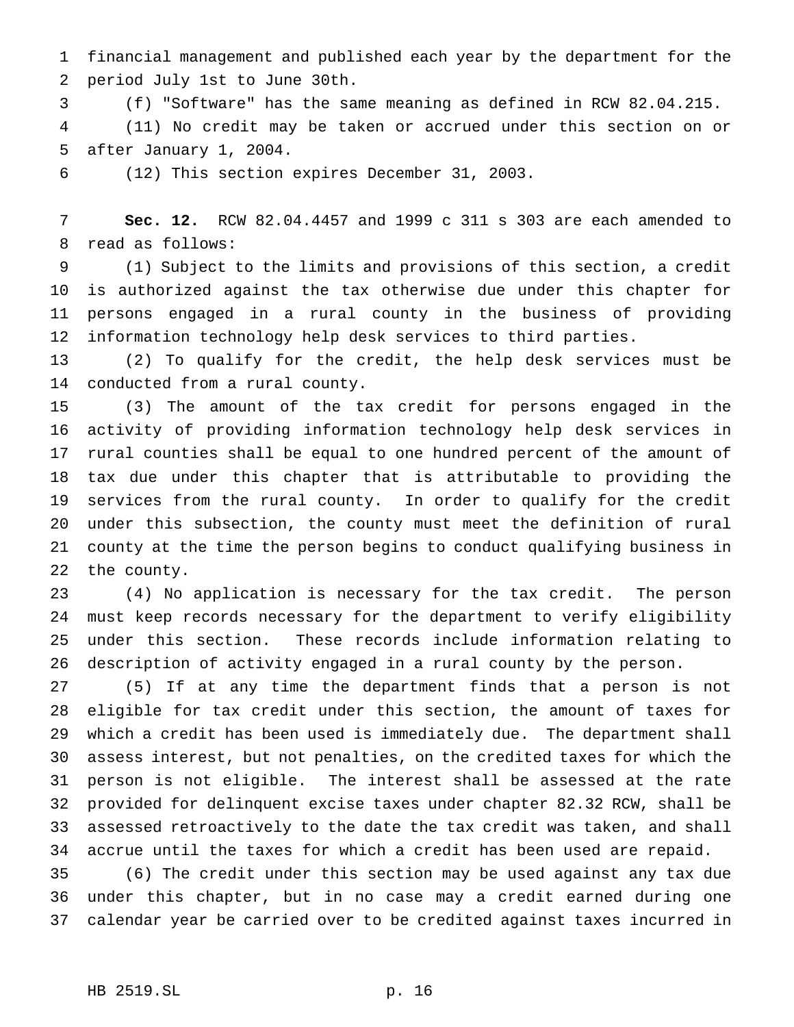financial management and published each year by the department for the period July 1st to June 30th.

 (f) "Software" has the same meaning as defined in RCW 82.04.215. (11) No credit may be taken or accrued under this section on or after January 1, 2004.

(12) This section expires December 31, 2003.

 **Sec. 12.** RCW 82.04.4457 and 1999 c 311 s 303 are each amended to read as follows:

 (1) Subject to the limits and provisions of this section, a credit is authorized against the tax otherwise due under this chapter for persons engaged in a rural county in the business of providing information technology help desk services to third parties.

 (2) To qualify for the credit, the help desk services must be conducted from a rural county.

 (3) The amount of the tax credit for persons engaged in the activity of providing information technology help desk services in rural counties shall be equal to one hundred percent of the amount of tax due under this chapter that is attributable to providing the services from the rural county. In order to qualify for the credit under this subsection, the county must meet the definition of rural county at the time the person begins to conduct qualifying business in the county.

 (4) No application is necessary for the tax credit. The person must keep records necessary for the department to verify eligibility under this section. These records include information relating to description of activity engaged in a rural county by the person.

 (5) If at any time the department finds that a person is not eligible for tax credit under this section, the amount of taxes for which a credit has been used is immediately due. The department shall assess interest, but not penalties, on the credited taxes for which the person is not eligible. The interest shall be assessed at the rate provided for delinquent excise taxes under chapter 82.32 RCW, shall be assessed retroactively to the date the tax credit was taken, and shall accrue until the taxes for which a credit has been used are repaid.

 (6) The credit under this section may be used against any tax due under this chapter, but in no case may a credit earned during one calendar year be carried over to be credited against taxes incurred in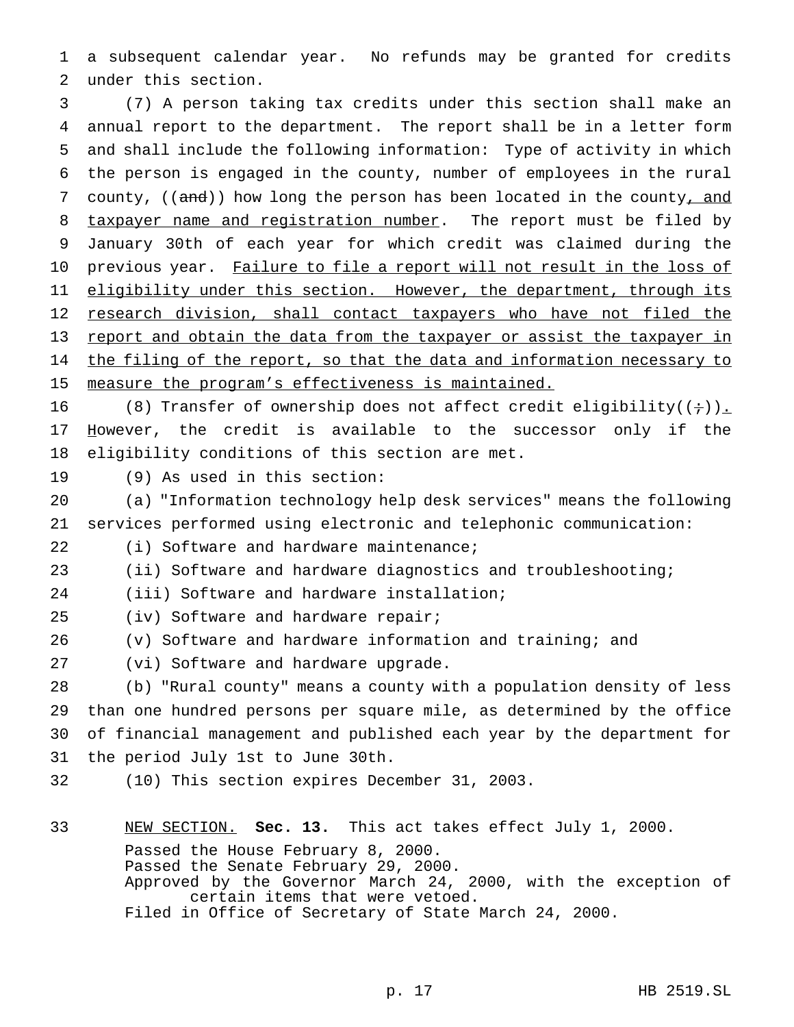a subsequent calendar year. No refunds may be granted for credits under this section.

 (7) A person taking tax credits under this section shall make an annual report to the department. The report shall be in a letter form and shall include the following information: Type of activity in which the person is engaged in the county, number of employees in the rural 7 county, ((and)) how long the person has been located in the county<u>, and</u> 8 taxpayer name and registration number. The report must be filed by January 30th of each year for which credit was claimed during the 10 previous year. Failure to file a report will not result in the loss of 11 eligibility under this section. However, the department, through its 12 research division, shall contact taxpayers who have not filed the report and obtain the data from the taxpayer or assist the taxpayer in 14 the filing of the report, so that the data and information necessary to 15 measure the program's effectiveness is maintained.

16 (8) Transfer of ownership does not affect credit eligibility( $(+)$ ). 17 However, the credit is available to the successor only if the eligibility conditions of this section are met.

(9) As used in this section:

 (a) "Information technology help desk services" means the following services performed using electronic and telephonic communication:

(i) Software and hardware maintenance;

(ii) Software and hardware diagnostics and troubleshooting;

(iii) Software and hardware installation;

(iv) Software and hardware repair;

(v) Software and hardware information and training; and

(vi) Software and hardware upgrade.

 (b) "Rural county" means a county with a population density of less than one hundred persons per square mile, as determined by the office of financial management and published each year by the department for the period July 1st to June 30th.

(10) This section expires December 31, 2003.

 NEW SECTION. **Sec. 13.** This act takes effect July 1, 2000. Passed the House February 8, 2000. Passed the Senate February 29, 2000. Approved by the Governor March 24, 2000, with the exception of certain items that were vetoed.

Filed in Office of Secretary of State March 24, 2000.